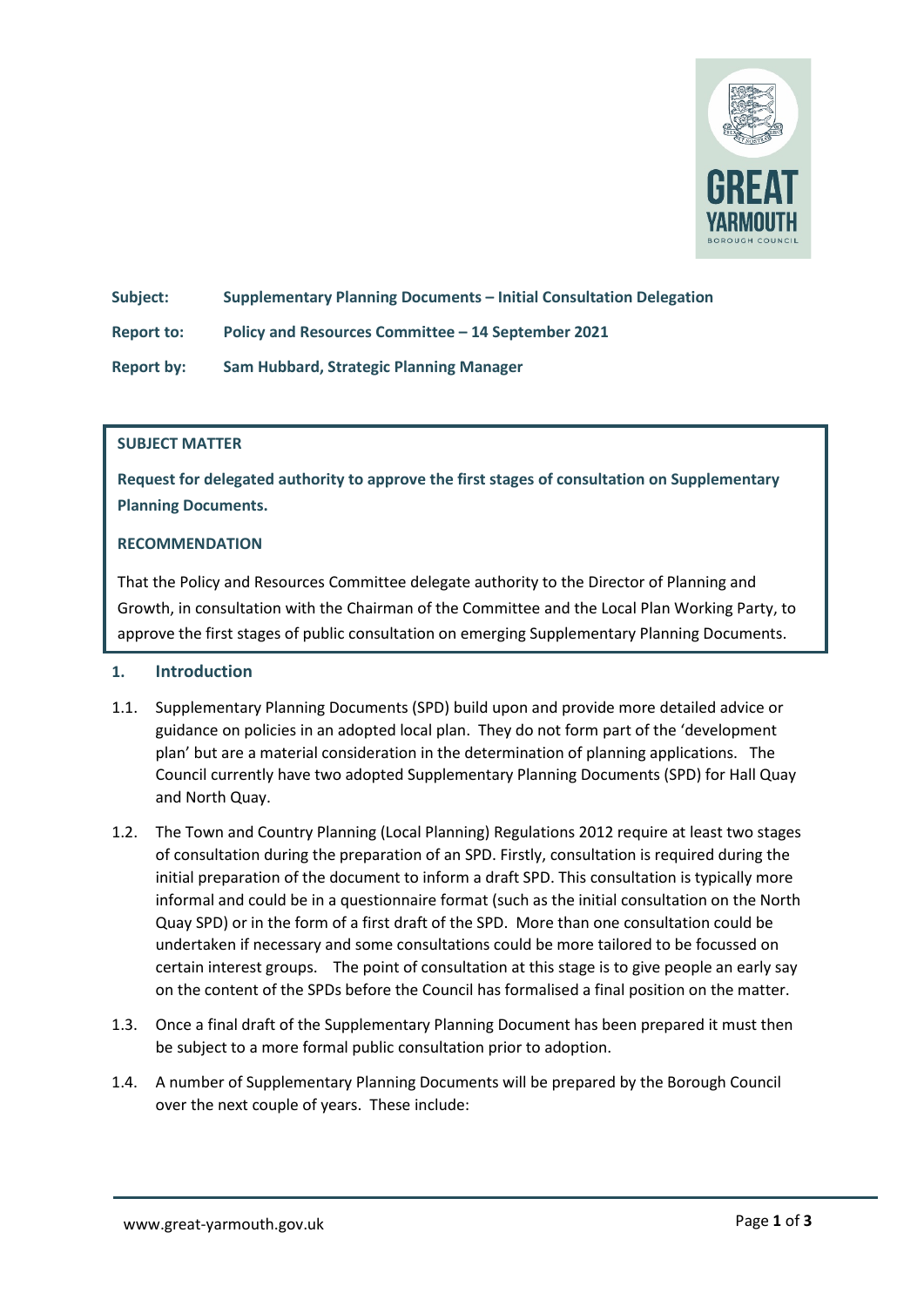

**Subject: Supplementary Planning Documents – Initial Consultation Delegation**

**Report to: Policy and Resources Committee – 14 September 2021**

**Report by: Sam Hubbard, Strategic Planning Manager** 

### **SUBJECT MATTER**

**Request for delegated authority to approve the first stages of consultation on Supplementary Planning Documents.** 

### **RECOMMENDATION**

That the Policy and Resources Committee delegate authority to the Director of Planning and Growth, in consultation with the Chairman of the Committee and the Local Plan Working Party, to approve the first stages of public consultation on emerging Supplementary Planning Documents.

# **1. Introduction**

- 1.1. Supplementary Planning Documents (SPD) build upon and provide more detailed advice or guidance on policies in an adopted local plan. They do not form part of the 'development plan' but are a material consideration in the determination of planning applications. The Council currently have two adopted Supplementary Planning Documents (SPD) for Hall Quay and North Quay.
- 1.2. The Town and Country Planning (Local Planning) Regulations 2012 require at least two stages of consultation during the preparation of an SPD. Firstly, consultation is required during the initial preparation of the document to inform a draft SPD. This consultation is typically more informal and could be in a questionnaire format (such as the initial consultation on the North Quay SPD) or in the form of a first draft of the SPD. More than one consultation could be undertaken if necessary and some consultations could be more tailored to be focussed on certain interest groups. The point of consultation at this stage is to give people an early say on the content of the SPDs before the Council has formalised a final position on the matter.
- 1.3. Once a final draft of the Supplementary Planning Document has been prepared it must then be subject to a more formal public consultation prior to adoption.
- 1.4. A number of Supplementary Planning Documents will be prepared by the Borough Council over the next couple of years. These include: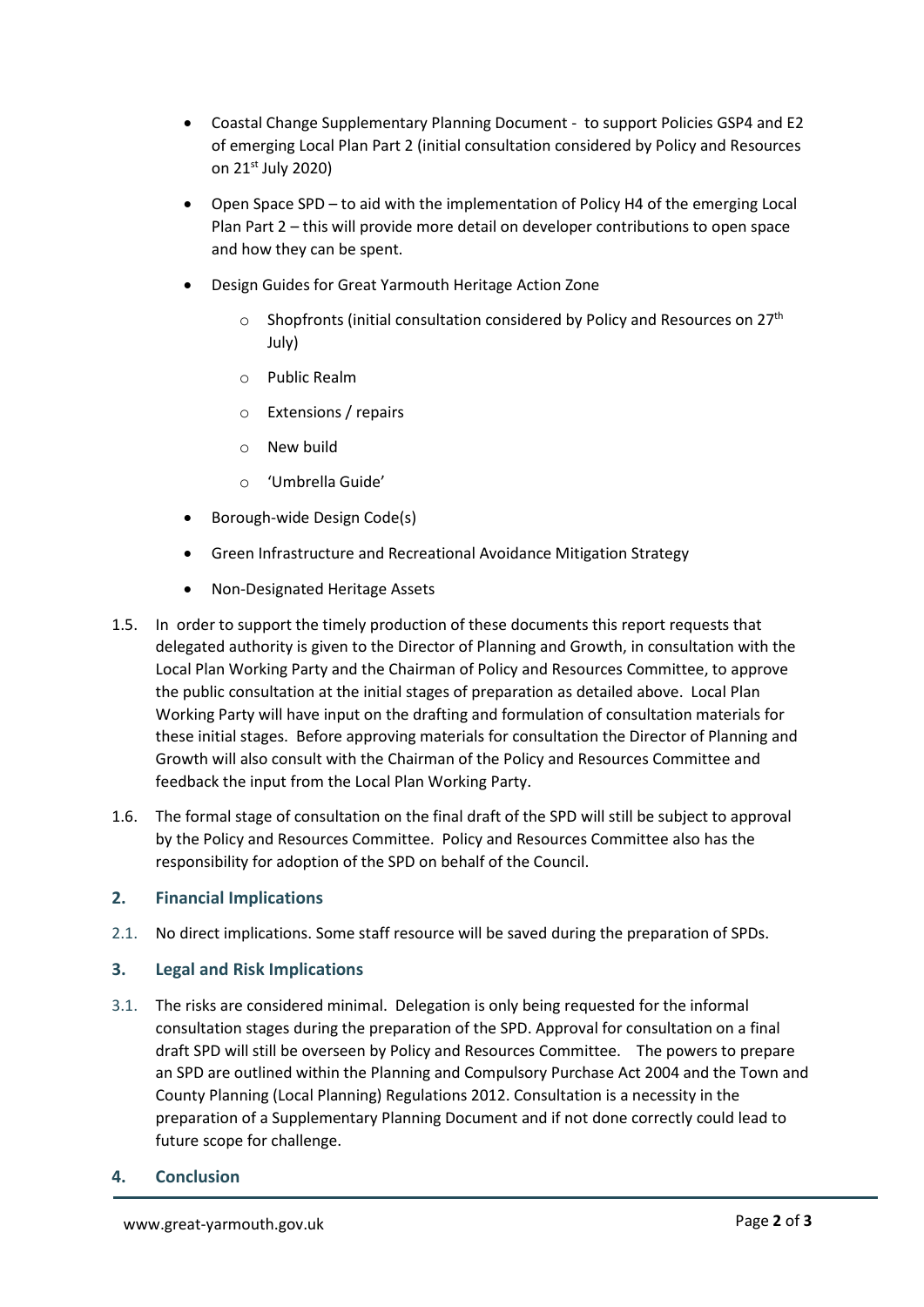- Coastal Change Supplementary Planning Document to support Policies GSP4 and E2 of emerging Local Plan Part 2 (initial consultation considered by Policy and Resources on 21st July 2020)
- Open Space SPD to aid with the implementation of Policy H4 of the emerging Local Plan Part 2 – this will provide more detail on developer contributions to open space and how they can be spent.
- Design Guides for Great Yarmouth Heritage Action Zone
	- $\circ$  Shopfronts (initial consultation considered by Policy and Resources on 27<sup>th</sup> July)
	- o Public Realm
	- o Extensions / repairs
	- o New build
	- o 'Umbrella Guide'
- Borough-wide Design Code(s)
- Green Infrastructure and Recreational Avoidance Mitigation Strategy
- Non-Designated Heritage Assets
- 1.5. In order to support the timely production of these documents this report requests that delegated authority is given to the Director of Planning and Growth, in consultation with the Local Plan Working Party and the Chairman of Policy and Resources Committee, to approve the public consultation at the initial stages of preparation as detailed above. Local Plan Working Party will have input on the drafting and formulation of consultation materials for these initial stages. Before approving materials for consultation the Director of Planning and Growth will also consult with the Chairman of the Policy and Resources Committee and feedback the input from the Local Plan Working Party.
- 1.6. The formal stage of consultation on the final draft of the SPD will still be subject to approval by the Policy and Resources Committee. Policy and Resources Committee also has the responsibility for adoption of the SPD on behalf of the Council.

# **2. Financial Implications**

2.1. No direct implications. Some staff resource will be saved during the preparation of SPDs.

# **3. Legal and Risk Implications**

3.1. The risks are considered minimal. Delegation is only being requested for the informal consultation stages during the preparation of the SPD. Approval for consultation on a final draft SPD will still be overseen by Policy and Resources Committee. The powers to prepare an SPD are outlined within the Planning and Compulsory Purchase Act 2004 and the Town and County Planning (Local Planning) Regulations 2012. Consultation is a necessity in the preparation of a Supplementary Planning Document and if not done correctly could lead to future scope for challenge.

# **4. Conclusion**